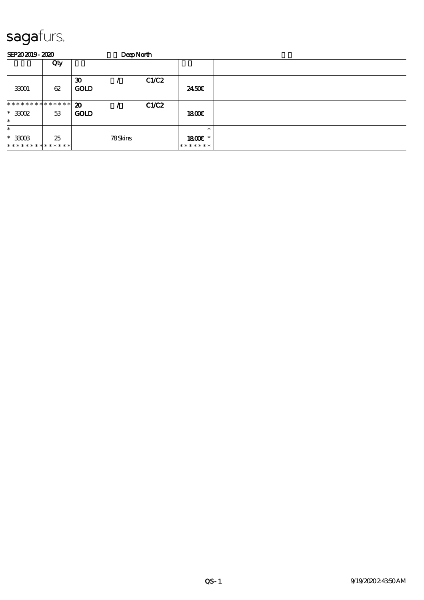| SEP202019-2020              |     |                                            | <b>DeepNorth</b> |       |               |  |
|-----------------------------|-----|--------------------------------------------|------------------|-------|---------------|--|
|                             | Qty |                                            |                  |       |               |  |
| 33001                       | 62  | $\boldsymbol{\mathfrak{D}}$<br><b>GOLD</b> |                  | C1/C2 | 2450E         |  |
| **************              |     | $\boldsymbol{\mathfrak{D}}$                |                  | CLC2  |               |  |
| $*3002$<br>$\ast$           | 53  | <b>GOLD</b>                                |                  |       | 1800E         |  |
| $\ast$                      |     |                                            |                  |       | $\ast$        |  |
| $*33003$                    | 25  |                                            | 78Skins          |       | 1800€ *       |  |
| * * * * * * * * * * * * * * |     |                                            |                  |       | * * * * * * * |  |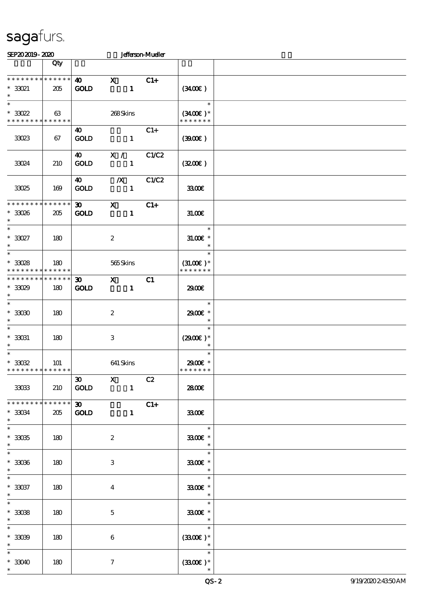| SEP202019-2020                                                    |                                   |                                            |                         |              | <b>Jefferson-Mueller</b> |                                                                 |  |
|-------------------------------------------------------------------|-----------------------------------|--------------------------------------------|-------------------------|--------------|--------------------------|-----------------------------------------------------------------|--|
|                                                                   | Qty                               |                                            |                         |              |                          |                                                                 |  |
| * * * * * * * * * * * * * *<br>$*3021$<br>$\ast$                  | 205                               | $\boldsymbol{\omega}$<br><b>GOLD</b>       | $\mathbf x$             | $\mathbf{1}$ | $C1+$                    | (3400)                                                          |  |
| $\ast$<br>$^*$ 33022<br>* * * * * * * * * * * * * *               | 63                                |                                            | 268Skins                |              |                          | $\ast$<br>$(3400)$ *<br>* * * * * * *                           |  |
| 33023                                                             | 67                                | $\boldsymbol{\omega}$<br><b>GOLD</b>       |                         | $\mathbf{1}$ | $C1+$                    | (300)                                                           |  |
| 33024                                                             | 210                               | $\boldsymbol{\omega}$<br>GOLD              | X /                     | $\mathbf{1}$ | C1/C2                    | (320)                                                           |  |
| 33025                                                             | 169                               | $\boldsymbol{\omega}$<br><b>GOLD</b>       | $\boldsymbol{X}$        | $\mathbf{1}$ | C1/C2                    | 3300€                                                           |  |
| * * * * * * * *<br>$*3006$<br>$\ast$                              | $******$<br>205                   | $\infty$<br><b>GOLD</b>                    | $\mathbf{x}$            | $\mathbf{1}$ | $C1+$                    | 31.006                                                          |  |
| $\ast$<br>$^*$ 33027 $\,$<br>$\ast$                               | 180                               |                                            | $\boldsymbol{2}$        |              |                          | $\ast$<br>$31.005$ *<br>$\ast$                                  |  |
| $\ast$<br>$^*$ 33028 $\,$<br>* * * * * * * *                      | 180<br>$\ast\ast\ast\ast\ast\ast$ |                                            | 565Skins                |              |                          | $\ast$<br>$(31.00)$ *<br>* * * * * * *                          |  |
| * * * * * * * *<br>$*3029$<br>$\ast$                              | * * * * * *<br>180                | $\boldsymbol{\mathfrak{D}}$<br><b>GOLD</b> | $\mathbf{X}$            | $\mathbf{1}$ | C1                       | 2900€                                                           |  |
| $\ast$<br>$*3000$<br>$\ast$                                       | 180                               |                                            | $\boldsymbol{2}$        |              |                          | $\ast$<br>2900€ *<br>$\ast$                                     |  |
| $\ast$<br>$*$ 33031<br>$\ast$                                     | 180                               |                                            | 3                       |              |                          | $\ast$<br>$(2900)$ *<br>$\ast$                                  |  |
| $\overline{\ast}$<br>$^\ast$ 33032<br>* * * * * * * * * * * * * * | 101                               |                                            | 641 Skins               |              |                          | $\ast$<br>$2900$ $\epsilon$ *<br>* * * * * * *                  |  |
| 33033                                                             | 210                               | $\overline{\textbf{30}}$ X<br><b>GOLD</b>  |                         | $\mathbf{1}$ | C2                       | 2800€                                                           |  |
| $*3034$<br>$\ast$                                                 | ******<br>205                     | $30 -$<br><b>GOLD</b>                      |                         | $\mathbf{1}$ | $C1+$                    | 3300                                                            |  |
| $\overline{\ast}$<br>$^\ast$ 33035<br>$\ast$                      | 180                               |                                            | $\boldsymbol{2}$        |              |                          | $\overline{\phantom{a}}$<br>3300€ *                             |  |
| $\overline{\phantom{a}^*}$<br>$* 33036$<br>$\ast$                 | 180                               |                                            | 3                       |              |                          | $\overline{\mathbf{r}}$<br>3300E *<br>$\overline{\phantom{a}}$  |  |
| $^\ast$ 33037<br>$\ast$                                           | 180                               |                                            | $\overline{\mathbf{4}}$ |              |                          | $\overline{\phantom{a}}$<br>3300€ *<br>$\overline{\phantom{a}}$ |  |
| $\ast$<br>$^\ast$ 33038<br>$\ast$                                 | 180                               |                                            | $\mathbf{5}$            |              |                          | $\ast$<br>3300€ *<br>$\overline{\phantom{a}}$                   |  |
| $\ast$<br>$* 33039$<br>$\ast$                                     | 180                               |                                            | 6                       |              |                          | $\ast$<br>$(3300)$ *<br>$\overline{\phantom{a}}$                |  |
| $\ast$<br>$*33040$<br>$\ast$                                      | 180                               |                                            | $\tau$                  |              |                          | $\ast$<br>$(3300)$ *                                            |  |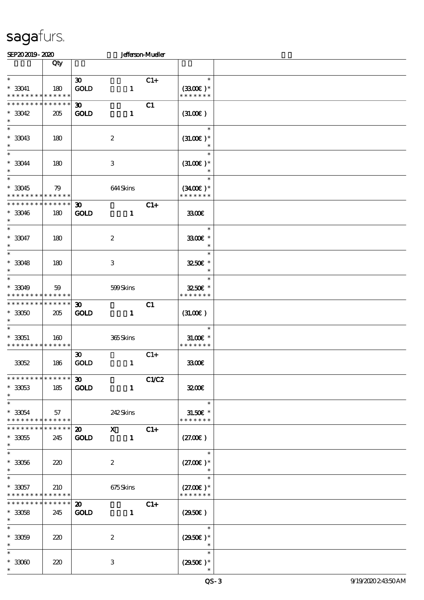| SEP202019-2020                |                 |                             |                           | Jefferson-Mueller |                                        |  |
|-------------------------------|-----------------|-----------------------------|---------------------------|-------------------|----------------------------------------|--|
|                               | Qty             |                             |                           |                   |                                        |  |
|                               |                 |                             |                           |                   |                                        |  |
| $\ast$                        |                 | $\boldsymbol{\mathfrak{D}}$ |                           | $C1+$             | $\ast$                                 |  |
| $^*$ 33041                    | 180             | <b>GOLD</b>                 | $\mathbf{1}$              |                   | $(3300)$ *                             |  |
| * * * * * * * * * * * * * *   |                 |                             |                           |                   | * * * * * * *                          |  |
| * * * * * * * *               | * * * * * *     | $\boldsymbol{\mathfrak{D}}$ |                           | C1                |                                        |  |
| $*3042$                       | 205             | <b>GOLD</b>                 | $\mathbf{1}$              |                   | (31.00)                                |  |
| $\ast$                        |                 |                             |                           |                   |                                        |  |
| $\ast$                        |                 |                             |                           |                   | $\ast$                                 |  |
| $*33043$                      | 180             |                             | $\boldsymbol{2}$          |                   | $(31.00)$ *                            |  |
| $\ast$                        |                 |                             |                           |                   | $\ast$                                 |  |
| $\overline{\ast}$             |                 |                             |                           |                   | $\ast$                                 |  |
| $*33044$                      | 180             |                             | $\ensuremath{\mathbf{3}}$ |                   | $(31.00)$ *                            |  |
| $\ast$                        |                 |                             |                           |                   |                                        |  |
| $\ast$                        |                 |                             |                           |                   | $\ast$                                 |  |
| $*33045$                      | 79              |                             | 644Skins                  |                   | $(3400)$ *                             |  |
| * * * * * * * *               | ******          |                             |                           |                   | * * * * * * *                          |  |
| * * * * * * *                 | * * * * * *     |                             |                           |                   |                                        |  |
|                               |                 | $\boldsymbol{\mathfrak{D}}$ |                           | $C1+$             |                                        |  |
| $*33046$<br>$\ast$            | 180             | <b>GOLD</b>                 | $\mathbf{1}$              |                   | 3300                                   |  |
| $\overline{\ast}$             |                 |                             |                           |                   | $\ast$                                 |  |
|                               |                 |                             |                           |                   |                                        |  |
| $* 33047$                     | 180             |                             | $\boldsymbol{2}$          |                   | 3300€ *                                |  |
| $\ast$                        |                 |                             |                           |                   | $\ast$                                 |  |
| $\ast$                        |                 |                             |                           |                   | $\ast$                                 |  |
| $^\ast$ 33048                 | 180             |                             | $\,3\,$                   |                   | 3250E *                                |  |
| $\ast$                        |                 |                             |                           |                   | $\ast$                                 |  |
| $\ast$                        |                 |                             |                           |                   | $\ast$                                 |  |
| $*3049$                       | 59              |                             | 599Skins                  |                   | 3250€ *                                |  |
| * * * * * * * *               | * * * * * *     |                             |                           |                   | * * * * * * *                          |  |
| * * * * * * * *               | * * * * * *     | $\boldsymbol{\mathfrak{D}}$ |                           | C1                |                                        |  |
| $*3050$                       | 205             | <b>GOLD</b>                 | $\mathbf{1}$              |                   | (31.00)                                |  |
| $\ast$                        |                 |                             |                           |                   |                                        |  |
| $\ast$                        |                 |                             |                           |                   | $\ast$                                 |  |
| $*33051$                      | 160             |                             | 365Skins                  |                   | $31.005*$                              |  |
| * * * * * * * * * * * * * *   |                 |                             |                           |                   | * * * * * * *                          |  |
|                               |                 | $\boldsymbol{\mathfrak{D}}$ |                           | $C1+$             |                                        |  |
| 33052                         | 186             | <b>GOLD</b>                 | $\mathbf{1}$              |                   | 3300                                   |  |
|                               |                 |                             |                           |                   |                                        |  |
| * * * * * * * * * * * * * * * |                 | $30-1$                      |                           | C1/C2             |                                        |  |
| $*3053$                       | 185             | <b>GOLD</b>                 | $\mathbf{1}$              |                   | 3200                                   |  |
| $\ast$                        |                 |                             |                           |                   |                                        |  |
| $\ast$                        |                 |                             |                           |                   | e e s<br>$\ast$                        |  |
| $*33054$                      | 57              |                             | 242 Skins                 |                   | $3L50E$ *                              |  |
| * * * * * * * * * * * * * * * |                 |                             |                           |                   | * * * * * * *                          |  |
| * * * * * * * *               | $* * * * * * *$ |                             | 20 X C1+                  |                   |                                        |  |
| $^\ast$ 33055                 | 245             | <b>GOLD</b>                 | $\mathbf{1}$              |                   | (27.00)                                |  |
| $\ast$                        |                 |                             |                           |                   |                                        |  |
| $\overline{\ast}$             |                 |                             |                           |                   | $\ast$                                 |  |
| $^\ast$ 33056                 | 220             |                             | $\boldsymbol{2}$          |                   | $(27.00)$ *                            |  |
| $\ast$                        |                 |                             |                           |                   |                                        |  |
| $\ast$                        |                 |                             |                           |                   | $\ast$                                 |  |
| $*3057$                       | 210             |                             | 675Skins                  |                   | $(27.00)$ *                            |  |
| * * * * * * * * * * * * * *   |                 |                             |                           |                   | * * * * * * *                          |  |
| * * * * * * *                 | $******$        | $\boldsymbol{\mathfrak{D}}$ |                           | $C1+$             |                                        |  |
| $*3058$                       | 245             | <b>GOLD</b>                 | $\mathbf{1}$              |                   | $(2950\epsilon)$                       |  |
| $\ast$                        |                 |                             |                           |                   |                                        |  |
| $\overline{\ast}$             |                 |                             |                           |                   | $\ast$                                 |  |
| $^\ast$ 33059                 |                 |                             | $\boldsymbol{2}$          |                   |                                        |  |
| $\ast$                        | 220             |                             |                           |                   | $(2950)$ *<br>$\overline{\phantom{a}}$ |  |
| $\ast$                        |                 |                             |                           |                   | $\ast$                                 |  |
| $^\ast$ 33060                 |                 |                             |                           |                   |                                        |  |
|                               | 220             |                             | 3                         |                   | $(2950)$ *                             |  |
|                               |                 |                             |                           |                   |                                        |  |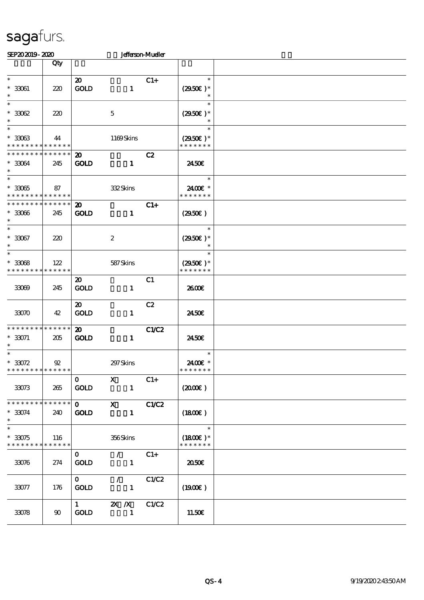| SEP202019-2020                                                    |                               |                                            |                                                             | Jefferson-Mueller |                                               |  |
|-------------------------------------------------------------------|-------------------------------|--------------------------------------------|-------------------------------------------------------------|-------------------|-----------------------------------------------|--|
|                                                                   | Qty                           |                                            |                                                             |                   |                                               |  |
| $\ast$<br>$^\ast$ 33061<br>$\ast$                                 | 220                           | $\boldsymbol{\mathfrak{D}}$<br>GOLD        | $\mathbf{1}$                                                | $C1+$             | $\ast$<br>$(2950)$ *<br>$\ast$                |  |
| $\ast$<br>$^*$ 33062 $\,$<br>$\ast$                               | 220                           |                                            | $\mathbf 5$                                                 |                   | $\ast$<br>$(2950)$ *<br>$\ast$                |  |
| $\ast$<br>$^\ast$ 33063<br>* * * * * * * * * * * * * *            | 44                            |                                            | 1169Skins                                                   |                   | $\ast$<br>$(2950\epsilon)^*$<br>* * * * * * * |  |
| * * * * * * * * * * * * * *<br>$* 33064$<br>$\ast$                | 245                           | $\boldsymbol{\mathfrak{D}}$<br><b>GOLD</b> | $\mathbf{1}$                                                | C2                | 2450E                                         |  |
| $\ast$<br>$*33065$<br>* * * * * * * * * * * * * *                 | 87                            |                                            | 332Skins                                                    |                   | $\ast$<br>2400€ *<br>* * * * * * *            |  |
| * * * * * * * * <mark>* * * * * * *</mark><br>$* 33066$<br>$\ast$ | 245                           | $\boldsymbol{\mathfrak{D}}$<br><b>GOLD</b> | $\mathbf{1}$                                                | $C1+$             | (2950)                                        |  |
| $\overline{\ast}$<br>$^\ast$ 33067<br>$\ast$                      | 220                           |                                            | $\boldsymbol{2}$                                            |                   | $\ast$<br>$(2950)$ *                          |  |
| $\ast$<br>$*3008$<br>* * * * * * * *                              | 122<br>* * * * * *            |                                            | 587Skins                                                    |                   | $\ast$<br>$(2950)$ *<br>* * * * * * *         |  |
| 33069                                                             | 245                           | $\boldsymbol{\mathfrak{D}}$<br><b>GOLD</b> | $\mathbf{1}$                                                | C1                | 2600E                                         |  |
| 33070                                                             | 42                            | $\boldsymbol{\mathfrak{D}}$<br><b>GOLD</b> | $\mathbf{1}$                                                | C2                | 2450E                                         |  |
| * * * * * * * * * * * * * *<br>$* 33071$<br>$\ast$                | 205                           | $\boldsymbol{\mathfrak{D}}$<br><b>GOLD</b> | $\mathbf{1}$                                                | <b>C1/C2</b>      | 2450E                                         |  |
| $\ast$<br>$* 33072$<br>* * * * * * * * <mark>*</mark>             | $\mathfrak{B}$<br>* * * * * * |                                            | 297 Skins                                                   |                   | $\ast$<br>2400€ *<br>* * * * * * *            |  |
| 33073                                                             | 265                           | $\mathbf{O}$<br><b>GOLD</b>                | $\mathbf{x}$<br>$\mathbf{1}$                                | $C1+$             | $(2000\varepsilon)$                           |  |
| * * * * * * * * * * * * * *<br>$* 33074$<br>$\ast$                | 240                           | $\mathbf 0$<br><b>GOLD</b>                 | $\mathbf{x}$<br>$\mathbf{1}$                                | C1/C2             | (1800)                                        |  |
| $\ast$<br>$*3075$<br>* * * * * * * *                              | 116<br>******                 |                                            | 356Skins                                                    |                   | $\ast$<br>$(1800E)*$<br>* * * * * * *         |  |
| 33076                                                             | 274                           | $\mathbf{O}$<br><b>GOLD</b>                | $\mathcal{L}$ and $\mathcal{L}$<br>$\mathbf{1}$             | $C1+$             | 2050E                                         |  |
| 33077                                                             | 176                           | $\mathbf{0}$<br><b>GOLD</b>                | $\mathcal{L}$ and $\mathcal{L}$<br>$\overline{\phantom{a}}$ | C1/C2             | (1900E)                                       |  |
| 33078                                                             | 90                            | $\mathbf{1}$<br><b>GOLD</b>                | $\mathbb{Z} \times \mathbb{Z}$ C1/C2<br>$\blacksquare$      |                   | 11.50E                                        |  |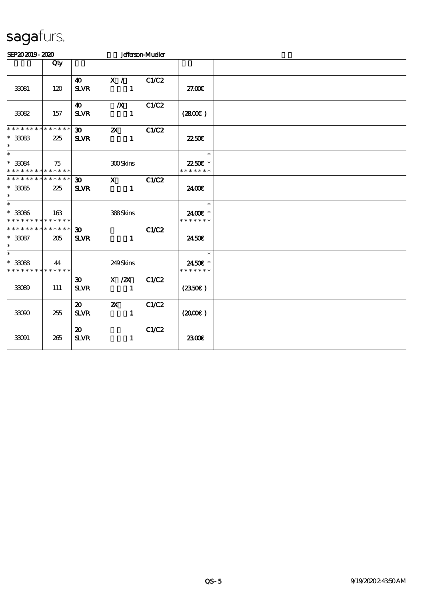| SEP202019-2020                                              |     |                                            | <b>Jefferson-Mueller</b>                  |       |                                     |  |  |  |  |  |
|-------------------------------------------------------------|-----|--------------------------------------------|-------------------------------------------|-------|-------------------------------------|--|--|--|--|--|
|                                                             | Qty |                                            |                                           |       |                                     |  |  |  |  |  |
| 33081                                                       | 120 | $\boldsymbol{\omega}$<br><b>SLVR</b>       | X /<br>$\blacksquare$                     | C1/C2 | 27.00E                              |  |  |  |  |  |
| 33082                                                       | 157 | $\boldsymbol{\omega}$<br><b>SLVR</b>       | $\boldsymbol{X}$<br>$\mathbf{1}$          | C1/C2 | (2800)                              |  |  |  |  |  |
| * * * * * * * * * * * * * *                                 |     | $\boldsymbol{\mathfrak{D}}$                | $\boldsymbol{\mathsf{X}}$                 | C1/C2 |                                     |  |  |  |  |  |
| $*3083$<br>$\ast$                                           | 225 | <b>SLVR</b>                                | $\mathbf{1}$                              |       | 2250E                               |  |  |  |  |  |
| $\overline{\ast}$<br>$*3084$<br>* * * * * * * * * * * * * * | 75  |                                            | <b>300Skins</b>                           |       | $\ast$<br>22.50€ *<br>* * * * * * * |  |  |  |  |  |
| * * * * * * * * * * * * * *                                 |     | $\mathbf{E}$                               | $\mathbf{X}$                              | C1/C2 |                                     |  |  |  |  |  |
| $*3085$<br>$\ast$                                           | 225 | <b>SLVR</b>                                | $\mathbf{1}$                              |       | 2400E                               |  |  |  |  |  |
| $\ast$<br>$^\ast$ 33086<br>* * * * * * * * * * * * * *      | 163 |                                            | 388Skins                                  |       | $\ast$<br>2400€ *<br>* * * * * * *  |  |  |  |  |  |
| * * * * * * * * * * * * * *<br>$*3087$<br>$\ast$            | 205 | $\boldsymbol{\mathfrak{D}}$<br><b>SLVR</b> | $\mathbf{1}$                              | C1/C2 | 2450E                               |  |  |  |  |  |
| $\ast$<br>$^\ast$ 33088<br>* * * * * * * * * * * * * *      | 44  |                                            | 249Skins                                  |       | $\ast$<br>2450€ *<br>* * * * * * *  |  |  |  |  |  |
| 33089                                                       | 111 | 30 <sup>2</sup><br><b>SLVR</b>             | $X \, / ZX$<br>$\mathbf{1}$               | C1/C2 | (2350)                              |  |  |  |  |  |
| 33090                                                       | 255 | 20<br><b>SLVR</b>                          | $\boldsymbol{\mathsf{Z}}$<br>$\mathbf{1}$ | C1/C2 | $(2000\varepsilon)$                 |  |  |  |  |  |
| 33091                                                       | 265 | $\boldsymbol{\mathfrak{D}}$<br><b>SLVR</b> | $\mathbf{1}$                              | C1/C2 | 2300€                               |  |  |  |  |  |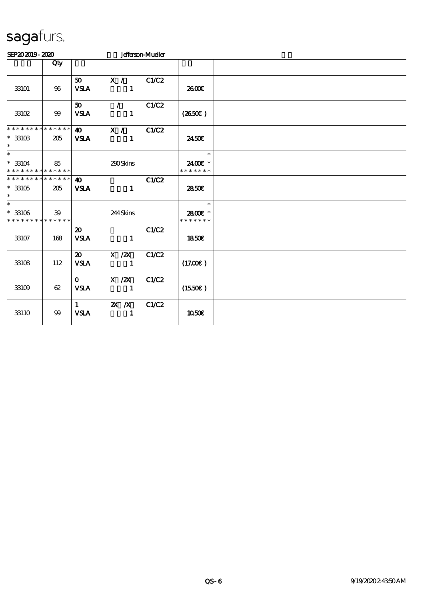| SEP202019-2020                                         |                    |                                            |                              | Jefferson-Mueller |                                    |  |
|--------------------------------------------------------|--------------------|--------------------------------------------|------------------------------|-------------------|------------------------------------|--|
|                                                        | Qty                |                                            |                              |                   |                                    |  |
| 33101                                                  | 96                 | 50<br><b>VSLA</b>                          | X / C1/C2<br>$\mathbf{1}$    |                   | 2600E                              |  |
| 33102                                                  | 99                 | 50<br><b>VSLA</b>                          | $\sqrt{2}$<br>$\blacksquare$ | C1/C2             | (2650)                             |  |
| ********<br>$*$ 33103<br>$\ast$                        | * * * * * *<br>205 | $\bullet$<br><b>VSLA</b>                   | X / C1/C2<br>$\mathbf{1}$    |                   | 2450E                              |  |
| $\ast$<br>$* 33104$<br>* * * * * * * * * * * * * *     | 85                 |                                            | 290Skins                     |                   | $\ast$<br>2400€ *<br>* * * * * * * |  |
| * * * * * * * * * * * * * *<br>$^\ast$ 33105<br>$\ast$ | 205                | $\boldsymbol{\Lambda}$<br><b>VSLA</b>      | $\mathbf{1}$                 | C1/C2             | 2850E                              |  |
| $\ast$<br>$*33106$<br>* * * * * * * * * * * * * *      | 39                 |                                            | 244Skins                     |                   | $\ast$<br>2800E *<br>* * * * * * * |  |
| 33107                                                  | 168                | $\boldsymbol{\mathfrak{D}}$<br><b>VSLA</b> | $\mathbf{1}$                 | C1/C2             | 1850E                              |  |
| 33108                                                  | 112                | $\boldsymbol{\mathsf{a}}$<br><b>VSLA</b>   | $X$ / $ZX$<br>$\blacksquare$ | C1/C2             | (17.00)                            |  |
| 33109                                                  | 62                 | $\mathbf{O}$<br><b>VSLA</b>                | $X \, /ZX$<br>$\mathbf{1}$   | C1/C2             | (1550E)                            |  |
| 33110                                                  | 99                 | $\mathbf{1}$<br><b>VSLA</b>                | $X$ $X$<br>$\mathbf{1}$      | C1/C2             | 1050€                              |  |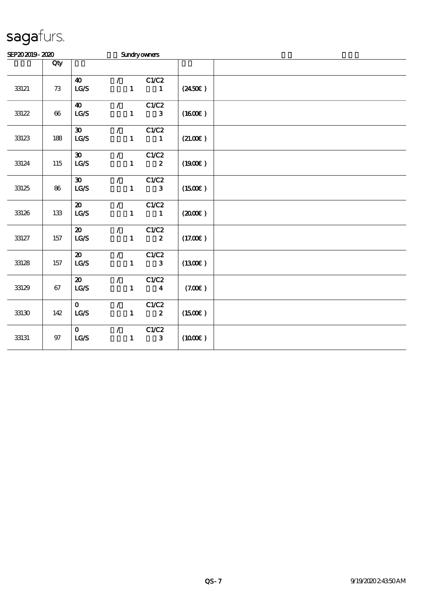| SEP202019-2020 |        |                                   |                                 |                                 | <b>Sundryowners</b>     |                     |  |
|----------------|--------|-----------------------------------|---------------------------------|---------------------------------|-------------------------|---------------------|--|
|                | Qty    |                                   |                                 |                                 |                         |                     |  |
|                |        | $\boldsymbol{\omega}$             | $\mathcal{L}$                   |                                 | C1/C2                   |                     |  |
| 33121          | 73     | LG/S                              |                                 | $\mathbf{1}$                    | $\mathbf{1}$            | $(2450\epsilon)$    |  |
|                |        | $\boldsymbol{40}$                 | $\mathcal{L}$                   |                                 | C1/C2                   |                     |  |
| 33122          | $66\,$ | $\mathbf{LG}\mathcal{S}$          |                                 | $\mathbf{1}$                    | $\mathbf{3}$            | (1600E)             |  |
|                |        | $\boldsymbol{\mathfrak{D}}$       | $\mathcal{L}$                   |                                 | C1/C2                   |                     |  |
| 33123          | 188    | $\mathbf{LG}\mathbf{S}$           |                                 | $\mathbf{1}$                    | $\blacksquare$          | (21.00)             |  |
|                |        | $\boldsymbol{\mathfrak{D}}$       |                                 | $\mathcal{L}$ and $\mathcal{L}$ | C1/C2                   |                     |  |
| 33124          | 115    | LG/S                              |                                 | $\mathbf{1}$                    | $\boldsymbol{2}$        | (1900)              |  |
|                |        | $\boldsymbol{\mathfrak{D}}$       | $\mathcal{L}$ and $\mathcal{L}$ |                                 | C1/C2                   |                     |  |
| 33125          | 86     | $\mathbf{LG}\mathcal{S}$          |                                 | $\mathbf{1}$                    | $\mathbf{3}$            | (1500E)             |  |
|                |        | $\boldsymbol{\mathsf{20}}$        | $\mathcal{L}$                   |                                 | C1/C2                   |                     |  |
| 33126          | 133    | $\mathtt{LG}\mathcal{S}$          |                                 | $\mathbf{1}$                    | $\mathbf{1}$            | $(2000\varepsilon)$ |  |
|                |        | $\boldsymbol{\mathfrak{D}}$       | $\mathcal{L}$                   |                                 | C1/C2                   |                     |  |
| 33127          | 157    | LG/S                              |                                 | $\mathbf{1}$                    | $\boldsymbol{z}$        | (17.00)             |  |
|                |        | $\boldsymbol{\mathfrak{D}}$       | $\mathcal{L}_{\mathbb{R}}$      |                                 | C1/C2                   |                     |  |
| 33128          | 157    | $\mathbf{LG}\mathbf{S}$           |                                 | $\mathbf{1}$                    | $\mathbf{3}$            | (1300E)             |  |
|                |        | $\boldsymbol{\mathfrak{D}}$       | $\mathcal{L}$                   |                                 | C1/C2                   |                     |  |
| 33129          | 67     | $\mathbf{LG}\mathbf{\mathcal{S}}$ |                                 | $\mathbf{1}$                    | $\overline{\mathbf{4}}$ | (7.00)              |  |
|                |        | $\mathbf{O}$                      | $\mathcal{T}^{\mathcal{A}}$     |                                 | C1/C2                   |                     |  |
| $33130\,$      | 142    | LCS                               |                                 | $\mathbf{1}$                    | $\overline{\mathbf{2}}$ | (1500E)             |  |
|                |        | $\mathbf{O}$                      | $\mathcal{L}$                   |                                 | C1/C2                   |                     |  |
| 33131          | $97\,$ | $\mathbf{LG}\mathbf{S}$           |                                 | $\mathbf{1}$                    | $\mathbf{3}$            | (1000E)             |  |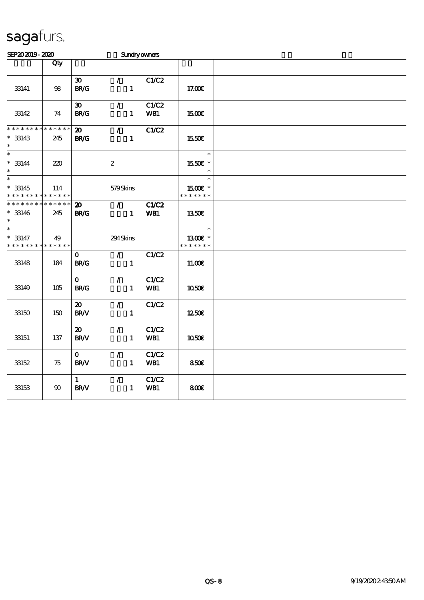| SEP202019-2020                                           |                        |                                                                  |                                                    | Sundryowners        |                                    |  |
|----------------------------------------------------------|------------------------|------------------------------------------------------------------|----------------------------------------------------|---------------------|------------------------------------|--|
|                                                          | Qty                    |                                                                  |                                                    |                     |                                    |  |
| 33141                                                    | 98                     | $\boldsymbol{\mathfrak{D}}$<br>$\mathbf{B}\mathbf{R}/\mathbf{G}$ | $\mathcal{L}$<br>$\mathbf{1}$                      | C1/C2               | 17.00E                             |  |
| 33142                                                    | 74                     | $\boldsymbol{\mathfrak{D}}$<br><b>BR/G</b>                       | $\mathcal{L}$<br>$\mathbf{1}$                      | C1/C2<br>WB1        | 1500€                              |  |
| * * * * * * * *<br>$* 33143$<br>$\ast$                   | * * * * * *<br>245     | $\boldsymbol{\mathbf{z}}$<br><b>BR/G</b>                         | $\mathcal{L}$<br>$\mathbf{1}$                      | C1/C2               | 1550€                              |  |
| $\ast$<br>$* 33144$<br>$\ast$                            | 220                    |                                                                  | $\boldsymbol{2}$                                   |                     | $\ast$<br>1550E *<br>$\ast$        |  |
| $\overline{\phantom{0}}$<br>$* 33145$<br>* * * * * * * * | 114<br>* * * * * *     |                                                                  | 579Skins                                           |                     | $\ast$<br>1500E *<br>* * * * * * * |  |
| * * * * * * * *<br>$* 33146$<br>$\ast$                   | $* * * * * * *$<br>245 | $\boldsymbol{\mathfrak{D}}$<br><b>BR/G</b>                       | $\mathcal{T} \subset \mathbb{R}^n$<br>$\mathbf{1}$ | <b>C1/C2</b><br>WB1 | 1350€                              |  |
| $\ast$<br>$* 33147$<br>* * * * * * * *                   | 49<br>* * * * * *      |                                                                  | 294Skins                                           |                     | $\ast$<br>1300€ *<br>* * * * * * * |  |
| 33148                                                    | 184                    | $\mathbf{O}$<br><b>BR/G</b>                                      | $\mathcal{L}$<br>$\mathbf{1}$                      | C1/C2               | 11.00E                             |  |
| 33149                                                    | 105                    | $\mathbf{O}$<br><b>BR/G</b>                                      | $\mathcal{F}$<br>$\mathbf{1}$                      | C1/C2<br>WB1        | $1050E$                            |  |
| 33150                                                    | 150                    | $\boldsymbol{\mathfrak{D}}$<br><b>BR/V</b>                       | $\mathcal{L}$<br>$\mathbf{1}$                      | C1/C2               | 1250E                              |  |
| 33151                                                    | 137                    | $\boldsymbol{\mathfrak{D}}$<br><b>BR/V</b>                       | $\mathcal{L}$<br>$\mathbf{1}$                      | C1/C2<br>WB1        | 1050€                              |  |
| 33152                                                    | 75                     | $\mathbf{O}$<br><b>BR/V</b>                                      | $\mathcal{L}$<br>$\mathbf{1}$                      | C1/C2<br>WB1        | 850€                               |  |
| 33153                                                    | $90\,$                 | $\mathbf{1}$<br><b>BR/V</b>                                      | $\mathcal{L}$<br>$\mathbf{1}$                      | C1/C2<br>WB1        | 800€                               |  |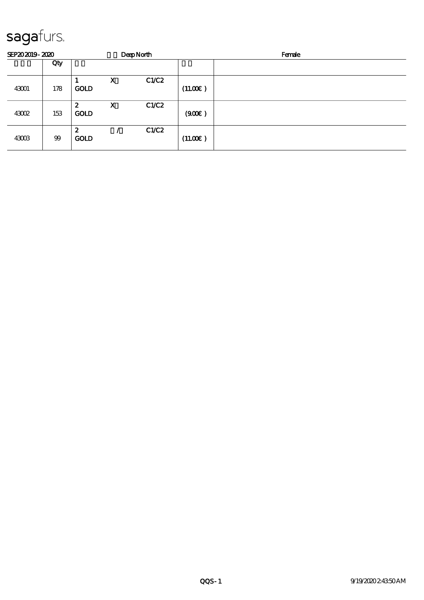| SEP202019-2020 |     |                                 |             | <b>DeepNorth</b> |         | Female |
|----------------|-----|---------------------------------|-------------|------------------|---------|--------|
|                | Qty |                                 |             |                  |         |        |
| 43001          | 178 | <b>GOLD</b>                     | $\mathbf X$ | C1/C2            | (11.00) |        |
| 43002          | 153 | 2<br><b>GOLD</b>                | X           | C1/C2            | (900)   |        |
| 43003          | 99  | $\boldsymbol{z}$<br><b>GOLD</b> |             | C1/C2            | (11.00) |        |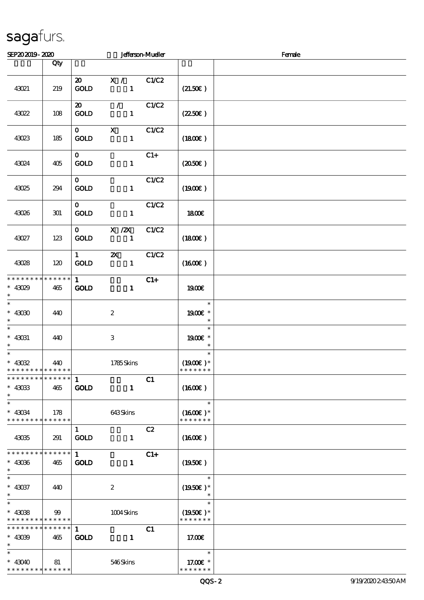| SEP202019-2020                                                |                        |                                            |                                                 | <b>Jefferson-Mueller</b> |                                       | Female |
|---------------------------------------------------------------|------------------------|--------------------------------------------|-------------------------------------------------|--------------------------|---------------------------------------|--------|
|                                                               | Qty                    |                                            |                                                 |                          |                                       |        |
| 43021                                                         | 219                    | $\boldsymbol{\mathsf{20}}$<br>GOLD         | X / C1/C2<br>$\blacksquare$                     |                          | (21.50)                               |        |
| 43022                                                         | 108                    | $\boldsymbol{\mathfrak{D}}$<br><b>GOLD</b> | $\mathcal{L}$ and $\mathcal{L}$<br>$\mathbf{1}$ | C1/C2                    | $(2250\varepsilon)$                   |        |
| 43023                                                         | 185                    | $\mathbf{O}$<br><b>GOLD</b>                | $\mathbf{x}$<br>$\mathbf{1}$                    | C1/C2                    | (1800)                                |        |
| 43024                                                         | 405                    | $\mathbf{0}$<br>GOLD                       | $\mathbf{1}$                                    | $C1+$                    | $(2050\epsilon)$                      |        |
| 43025                                                         | 294                    | $\mathbf{O}$<br><b>GOLD</b>                | $\mathbf{1}$                                    | C1/C2                    | (1900E)                               |        |
| 43026                                                         | 301                    | $\mathbf{o}$<br><b>GOLD</b>                | $\mathbf{1}$                                    | C1/C2                    | 1800E                                 |        |
| 43027                                                         | 123                    | $\mathbf{O}$<br>GOLD                       | $X$ / $ZX$<br>$\mathbf{1}$                      | C1/C2                    | (1800)                                |        |
| 43028                                                         | 120                    | $1 \quad \blacksquare$<br><b>GOLD</b>      | $\boldsymbol{\mathsf{z}}$<br>$\mathbf{1}$       | C1/C2                    | $(1600\varepsilon)$                   |        |
| * * * * * * * * * * * * * *<br>$* 43029$<br>$\ast$            | 465                    | 1<br><b>GOLD</b>                           | $\mathbf{1}$                                    | $C1+$                    | 1900E                                 |        |
| $\overline{\ast}$<br>$*$ 43030 $\,$<br>$\ast$                 | 440                    |                                            | $\boldsymbol{z}$                                |                          | $\ast$<br>1900€ *<br>$\ast$           |        |
| $\overline{\phantom{0}}$<br>$*$ 43031<br>$\ast$               | 440                    |                                            | $\,3$                                           |                          | $\ast$<br>1900 *<br>$\ast$            |        |
| $\overline{\ast}$<br>$* 43032$<br>* * * * * * * * * * * * * * | 440                    |                                            | 1785Skins                                       |                          | $\ast$<br>$(1900E)*$<br>* * * * * * * |        |
| * * * * * * * * * * * * * * *<br>$*$ 43033<br>$\ast$          | 465                    | -1<br><b>GOLD</b>                          | $\mathbf{1}$                                    | C1                       | (1600E)                               |        |
| $\ast$<br>$* 43034$<br>* * * * * * * * * * * * * *            | 178                    |                                            | 643Skins                                        |                          | $\ast$<br>$(1600E)*$<br>* * * * * * * |        |
| 43035                                                         | 291                    | $\mathbf{1}$<br>$\mathop{\rm GOD}$         | $\mathbf{1}$                                    | C2                       | $(1600\varepsilon)$                   |        |
| * * * * * * * * * * * * * *<br>$^*$ 43036 $\,$<br>$\ast$      | 465                    | 1<br><b>GOLD</b>                           | $\mathbf{1}$                                    | $C1+$                    | (1950E)                               |        |
| $\ast$<br>$* 43037$<br>$\ast$                                 | 440                    |                                            | $\boldsymbol{2}$                                |                          | $\ast$<br>$(1950\text{E})*$<br>$\ast$ |        |
| $\ast$<br>$* 43088$<br>* * * * * * * * * * * * * *            | 99                     |                                            | 1004Skins                                       |                          | $\ast$<br>$(1950)$ *<br>* * * * * * * |        |
| * * * * * * * *<br>$* 43039$<br>$\ast$                        | $* * * * * * *$<br>465 | -1<br><b>GOLD</b>                          | $\mathbf{1}$                                    | C1                       | 17.00                                 |        |
| $* 43040$<br>* * * * * * * * * * * * * *                      | 81                     |                                            | 546Skins                                        |                          | $\ast$<br>17.00 £*<br>* * * * * * *   |        |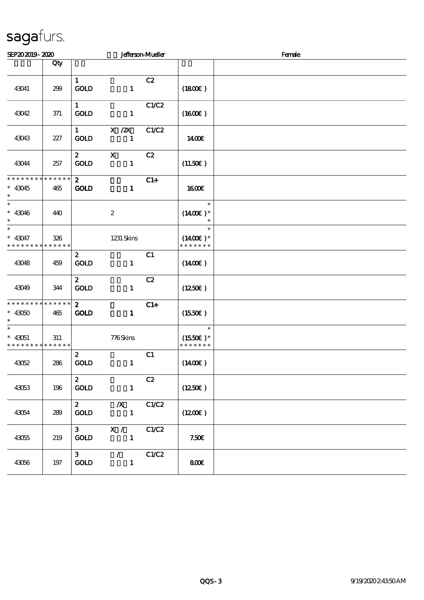| SEP202019-2020                                                |                    |                                        |                                 | <b>Jefferson-Mueller</b> | Female                                 |  |  |
|---------------------------------------------------------------|--------------------|----------------------------------------|---------------------------------|--------------------------|----------------------------------------|--|--|
|                                                               | Qty                |                                        |                                 |                          |                                        |  |  |
| 43041                                                         | 299                | $\mathbf{1}$<br>GOLD                   | $\mathbf{1}$                    | C2                       | (1800)                                 |  |  |
| 43042                                                         | 371                | $\mathbf{1}$<br><b>GOLD</b>            | $\mathbf{1}$                    | C1/C2                    | $(1600\varepsilon)$                    |  |  |
| 43043                                                         | 227                | $1 \quad \blacksquare$<br><b>GOLD</b>  | X / ZX<br>$\mathbf{1}$          | C1/C2                    | 1400E                                  |  |  |
| 43044                                                         | 257                | $\mathbf{2}$<br><b>GOLD</b>            | $\mathbf{x}$<br>$\mathbf{1}$    | C2                       | (11.50)                                |  |  |
| * * * * * * * * * * * * * *<br>$* 43045$<br>$\ast$            | 465                | $\mathbf{z}$<br>GOLD                   | $\mathbf{1}$                    | $C1+$                    | 1600E                                  |  |  |
| $\ast$<br>$* 43046$<br>$\ast$                                 | 440                |                                        | $\boldsymbol{2}$                |                          | $\ast$<br>$(1400)$ *<br>$\ast$         |  |  |
| $\overline{\ast}$<br>$* 43047$<br>* * * * * * * * * * * * * * | 326                |                                        | 1231 Skins                      |                          | $\ast$<br>$(1400E)^*$<br>* * * * * * * |  |  |
| 43048                                                         | 459                | $\boldsymbol{z}$<br><b>GOLD</b>        | $\mathbf{1}$                    | C1                       | $(1400\varepsilon)$                    |  |  |
| 43049                                                         | 344                | $\boldsymbol{z}$<br>GOLD               | $\mathbf{1}$                    | C2                       | $(1250\epsilon)$                       |  |  |
| * * * * * * * *<br>$*$ 43050 $\,$                             | * * * * * *<br>465 | $\mathbf{2}$<br><b>GOLD</b>            | $\mathbf{1}$                    | $C1+$                    | $(1550\varepsilon)$                    |  |  |
| $\ast$<br>$* 43051$<br>* * * * * * * *                        | 311<br>* * * * * * |                                        | 776Skins                        |                          | $\ast$<br>$(1550E)*$<br>* * * * * * *  |  |  |
| 43052                                                         | 286                | $\boldsymbol{z}$<br>$\mathop{\rm GOD}$ | $\mathbf{1}$                    | C1                       | $(1400\varepsilon)$                    |  |  |
| 43053                                                         | 196                | $\mathbf{z}$<br>$\mathop{\rm GOD}$     | $\mathbf{1}$                    | C2                       | (1250E)                                |  |  |
| 43054                                                         | 289                | $\boldsymbol{z}$<br>GOLD               | $\boldsymbol{X}$<br>$\mathbf 1$ | C1/C2                    | (1200E)                                |  |  |
| 43055                                                         | 219                | $\mathbf{3}$<br><b>GOLD</b>            | X /<br>$\mathbf{1}$             | C1/C2                    | 7.50E                                  |  |  |
| 43056                                                         | $197\,$            | 3 <sub>1</sub><br><b>GOLD</b>          | $\mathcal{L}$<br>$\mathbf{1}$   | C1/C2                    | 800E                                   |  |  |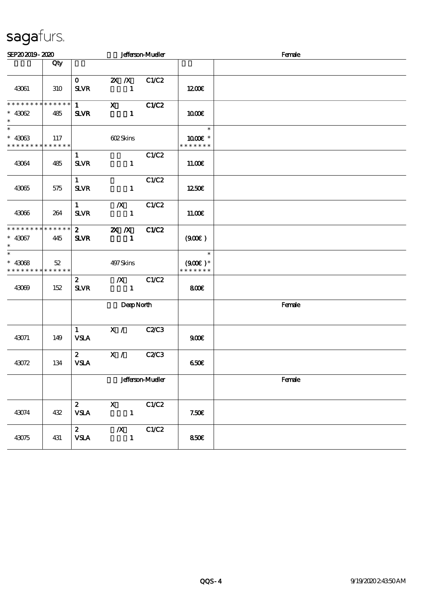| SEP202019-2020                                                       |     |                                       |                                           | <b>Jefferson-Mueller</b> |                                      | Female |  |  |  |  |
|----------------------------------------------------------------------|-----|---------------------------------------|-------------------------------------------|--------------------------|--------------------------------------|--------|--|--|--|--|
|                                                                      | Qty |                                       |                                           |                          |                                      |        |  |  |  |  |
| 43061                                                                | 310 | $\mathbf{0}$<br><b>SLVR</b>           | <b>2X X</b> C1/C2<br>$\mathbf{1}$         |                          | 1200E                                |        |  |  |  |  |
| * * * * * * * * * * * * * * *<br>$* 43062$<br>$\ast$                 | 485 | $1 \quad \blacksquare$<br><b>SLVR</b> | $X$ $C1/C2$<br>$\mathbf{1}$               |                          | 1000E                                |        |  |  |  |  |
| $\overline{\phantom{1}}$<br>$* 43063$<br>* * * * * * * * * * * * * * | 117 |                                       | 602Skins                                  |                          | $\ast$<br>1000 *<br>* * * * * * *    |        |  |  |  |  |
| 43064                                                                | 485 | $\mathbf{1}$<br><b>SLVR</b>           | $\mathbf{1}$                              | C1/C2                    | 11.00E                               |        |  |  |  |  |
| 43065                                                                | 575 | $1 -$<br><b>SLVR</b>                  | $\mathbf{1}$                              | C1/C2                    | 1250€                                |        |  |  |  |  |
| 43066                                                                | 264 | 1<br><b>SLVR</b>                      | $\mathbf{X}$<br>$\mathbf{1}$              | C1/C2                    | 11.00E                               |        |  |  |  |  |
| * * * * * * * * * * * * * *<br>$* 43067$<br>$\ast$                   | 445 | $\mathbf{2}$<br><b>SLVR</b>           | $\mathbb{X}$ $\mathbb{X}$<br>$\mathbf{1}$ | C1/C2                    | (900)                                |        |  |  |  |  |
| $\ast$<br>$* 43068$<br>* * * * * * * * <mark>* * * * * * *</mark>    | 52  |                                       | 497 Skins                                 |                          | $\ast$<br>$(900)$ *<br>* * * * * * * |        |  |  |  |  |
| 43069                                                                | 152 | $\mathbf{z}$<br><b>SLVR</b>           | $\mathbf{1}$                              | $\chi$ C1/C2             | 800                                  |        |  |  |  |  |
|                                                                      |     |                                       | DeepNorth                                 |                          |                                      | Female |  |  |  |  |
| 43071                                                                | 149 | 1<br><b>VSLA</b>                      | X / C2/C3                                 |                          | 900                                  |        |  |  |  |  |
| 43072                                                                | 134 | 2 <sup>7</sup><br><b>VSLA</b>         | $\mathbf{X}$ /                            | <b>C2/C3</b>             | 650€                                 |        |  |  |  |  |
|                                                                      |     |                                       |                                           | <b>Jefferson-Mueller</b> |                                      | Female |  |  |  |  |
| 43074                                                                | 432 | $\mathbf{2}$<br><b>VSLA</b>           | $\mathbf{x}$<br>$\mathbf{1}$              | C1/C2                    | 7.50E                                |        |  |  |  |  |
| 43075                                                                | 431 | $\mathbf{2}$<br><b>VSLA</b>           | $\boldsymbol{X}$<br>$\mathbf{1}$          | C1/C2                    | 850E                                 |        |  |  |  |  |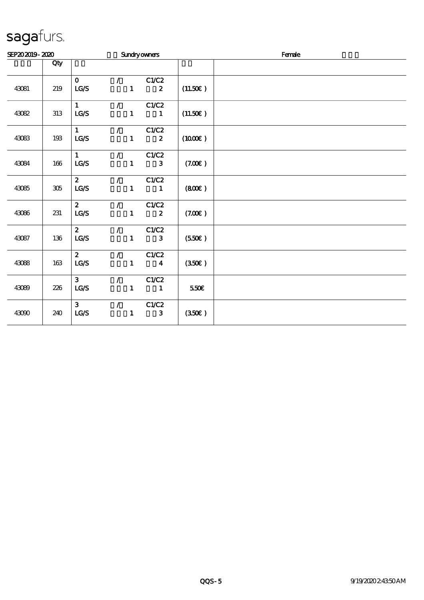| SEP202019-2020 |         |                                            |                                 |                                                 | <b>Sundryowners</b>              | Female              |  |  |
|----------------|---------|--------------------------------------------|---------------------------------|-------------------------------------------------|----------------------------------|---------------------|--|--|
|                | Qty     |                                            |                                 |                                                 |                                  |                     |  |  |
| 43081          | 219     | $\mathbf{O}$<br>$\mathtt{LG}\mathcal{S}$   |                                 | $\mathcal{L} = \mathcal{L}$<br>$\mathbf{1}$     | C1/C2<br>$\boldsymbol{z}$        | (11.50)             |  |  |
| 43082          | 313     | 1<br>$\mathbf{LG}\mathcal{S}$              | $\mathcal{L}$                   | $\mathbf{1}$                                    | C1/C2<br>$\blacksquare$          | (11.50)             |  |  |
| 43083          | 193     | $1 -$<br>$\mathtt{LG}\mathcal{S}$          | $\mathcal{L}$ and $\mathcal{L}$ | $\mathbf{1}$                                    | C1/C2<br>$\boldsymbol{z}$        | $(1000\varepsilon)$ |  |  |
| 43084          | 166     | 1<br>LG/S                                  |                                 | $\mathcal{L}$<br>$\mathbf{1}$                   | C1/C2<br>$\mathbf{3}$            | (7.00)              |  |  |
| 43085          | $305\,$ | 2 <sup>1</sup><br>$\mathbf{LG}\mathcal{S}$ |                                 | $\mathcal{L}$ and $\mathcal{L}$<br>$\mathbf{1}$ | C1/C2<br>$\blacksquare$          | (800)               |  |  |
| 43086          | 231     | $\mathbf{2}$<br>LG/S                       |                                 | $\mathcal{L}$ and $\mathcal{L}$<br>$\mathbf{1}$ | C1/C2<br>$\boldsymbol{z}$        | (7.00)              |  |  |
| 43087          | 136     | $\mathbf{2}$<br>LG/S                       | $\mathcal{L}$                   | $\mathbf{I}$                                    | C1/C2<br>$\mathbf{3}$            | (550)               |  |  |
| 43088          | 163     | $\mathbf{z}$<br>$\mathtt{LG}\mathcal{S}$   | $\mathcal{L}$                   | $\mathbf{1}$                                    | C1/C2<br>$\overline{\mathbf{4}}$ | (350)               |  |  |
| 43089          | 226     | $\mathbf{3}$<br>LG/S                       |                                 | $\mathcal{L}$ and $\mathcal{L}$<br>$\mathbf{1}$ | C1/C2<br>$\mathbf{1}$            | 550€                |  |  |
| 43090          | 240     | 3 <sup>1</sup><br>LG/S                     | $\mathcal{L}$ and $\mathcal{L}$ | $\mathbf{1}$                                    | C1/C2<br>$\mathbf{3}$            | (350)               |  |  |